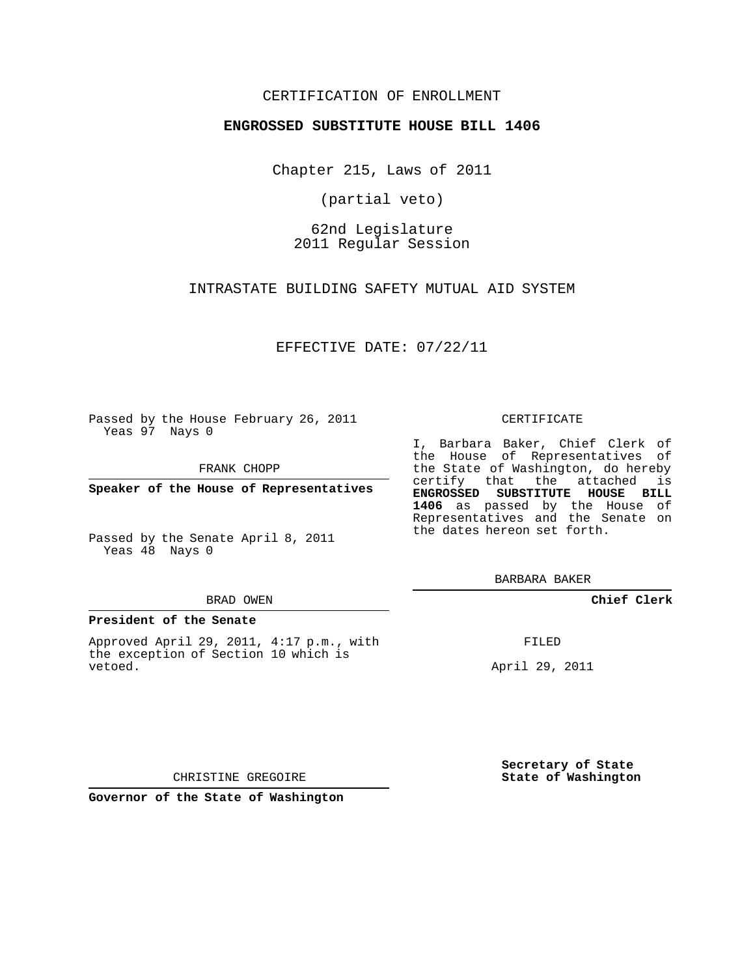## CERTIFICATION OF ENROLLMENT

### **ENGROSSED SUBSTITUTE HOUSE BILL 1406**

Chapter 215, Laws of 2011

(partial veto)

62nd Legislature 2011 Regular Session

INTRASTATE BUILDING SAFETY MUTUAL AID SYSTEM

EFFECTIVE DATE: 07/22/11

Passed by the House February 26, 2011 Yeas 97 Nays 0

FRANK CHOPP

**Speaker of the House of Representatives**

Passed by the Senate April 8, 2011 Yeas 48 Nays 0

#### BRAD OWEN

#### **President of the Senate**

Approved April 29, 2011, 4:17 p.m., with the exception of Section 10 which is vetoed.

CERTIFICATE

I, Barbara Baker, Chief Clerk of the House of Representatives of the State of Washington, do hereby certify that the attached is **ENGROSSED SUBSTITUTE HOUSE BILL 1406** as passed by the House of Representatives and the Senate on the dates hereon set forth.

BARBARA BAKER

**Chief Clerk**

FILED

April 29, 2011

**Secretary of State State of Washington**

CHRISTINE GREGOIRE

**Governor of the State of Washington**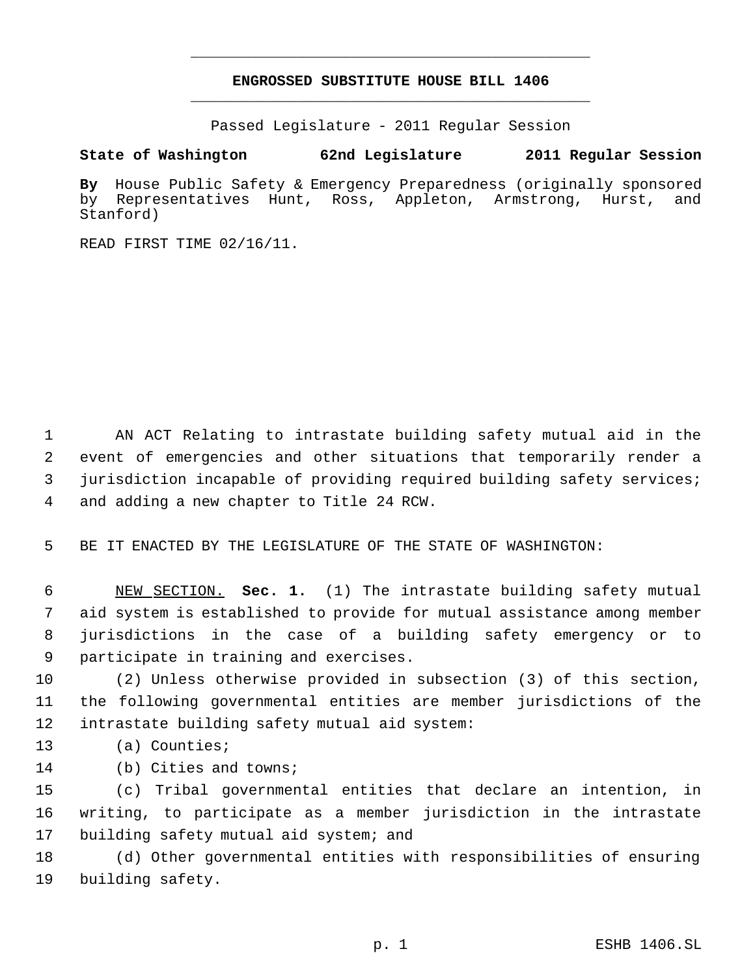# **ENGROSSED SUBSTITUTE HOUSE BILL 1406** \_\_\_\_\_\_\_\_\_\_\_\_\_\_\_\_\_\_\_\_\_\_\_\_\_\_\_\_\_\_\_\_\_\_\_\_\_\_\_\_\_\_\_\_\_

\_\_\_\_\_\_\_\_\_\_\_\_\_\_\_\_\_\_\_\_\_\_\_\_\_\_\_\_\_\_\_\_\_\_\_\_\_\_\_\_\_\_\_\_\_

Passed Legislature - 2011 Regular Session

# **State of Washington 62nd Legislature 2011 Regular Session**

**By** House Public Safety & Emergency Preparedness (originally sponsored by Representatives Hunt, Ross, Appleton, Armstrong, Hurst, and Stanford)

READ FIRST TIME 02/16/11.

 AN ACT Relating to intrastate building safety mutual aid in the event of emergencies and other situations that temporarily render a jurisdiction incapable of providing required building safety services; and adding a new chapter to Title 24 RCW.

BE IT ENACTED BY THE LEGISLATURE OF THE STATE OF WASHINGTON:

 NEW SECTION. **Sec. 1.** (1) The intrastate building safety mutual aid system is established to provide for mutual assistance among member jurisdictions in the case of a building safety emergency or to participate in training and exercises.

 (2) Unless otherwise provided in subsection (3) of this section, the following governmental entities are member jurisdictions of the intrastate building safety mutual aid system:

(a) Counties;

(b) Cities and towns;

 (c) Tribal governmental entities that declare an intention, in writing, to participate as a member jurisdiction in the intrastate 17 building safety mutual aid system; and

 (d) Other governmental entities with responsibilities of ensuring building safety.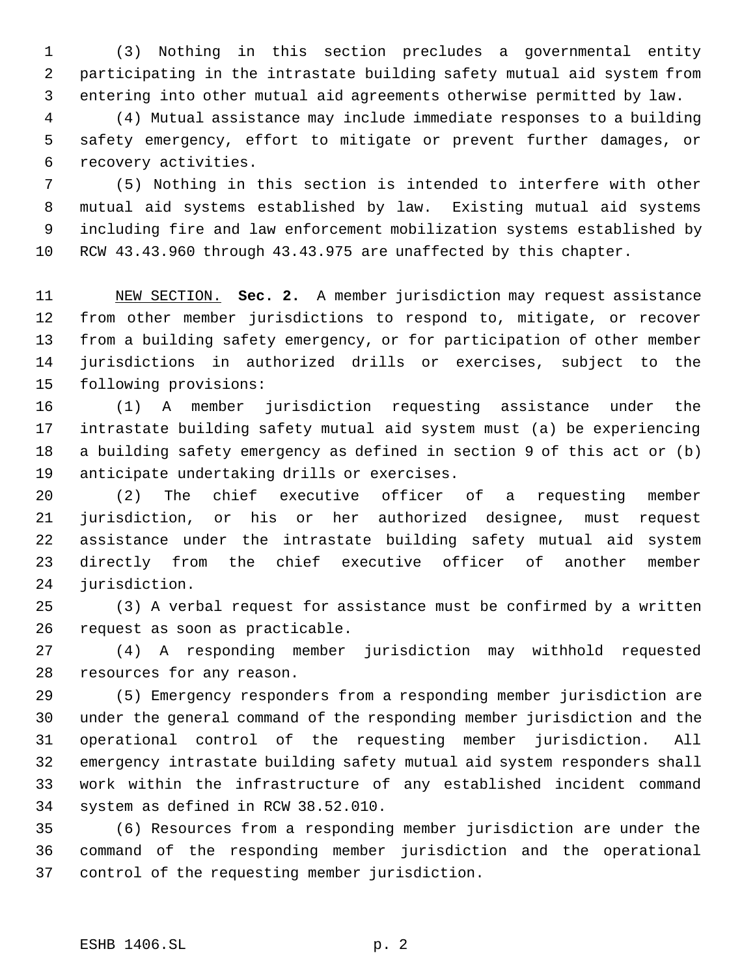(3) Nothing in this section precludes a governmental entity participating in the intrastate building safety mutual aid system from entering into other mutual aid agreements otherwise permitted by law.

 (4) Mutual assistance may include immediate responses to a building safety emergency, effort to mitigate or prevent further damages, or recovery activities.

 (5) Nothing in this section is intended to interfere with other mutual aid systems established by law. Existing mutual aid systems including fire and law enforcement mobilization systems established by RCW 43.43.960 through 43.43.975 are unaffected by this chapter.

 NEW SECTION. **Sec. 2.** A member jurisdiction may request assistance from other member jurisdictions to respond to, mitigate, or recover from a building safety emergency, or for participation of other member jurisdictions in authorized drills or exercises, subject to the following provisions:

 (1) A member jurisdiction requesting assistance under the intrastate building safety mutual aid system must (a) be experiencing a building safety emergency as defined in section 9 of this act or (b) anticipate undertaking drills or exercises.

 (2) The chief executive officer of a requesting member jurisdiction, or his or her authorized designee, must request assistance under the intrastate building safety mutual aid system directly from the chief executive officer of another member jurisdiction.

 (3) A verbal request for assistance must be confirmed by a written request as soon as practicable.

 (4) A responding member jurisdiction may withhold requested resources for any reason.

 (5) Emergency responders from a responding member jurisdiction are under the general command of the responding member jurisdiction and the operational control of the requesting member jurisdiction. All emergency intrastate building safety mutual aid system responders shall work within the infrastructure of any established incident command system as defined in RCW 38.52.010.

 (6) Resources from a responding member jurisdiction are under the command of the responding member jurisdiction and the operational control of the requesting member jurisdiction.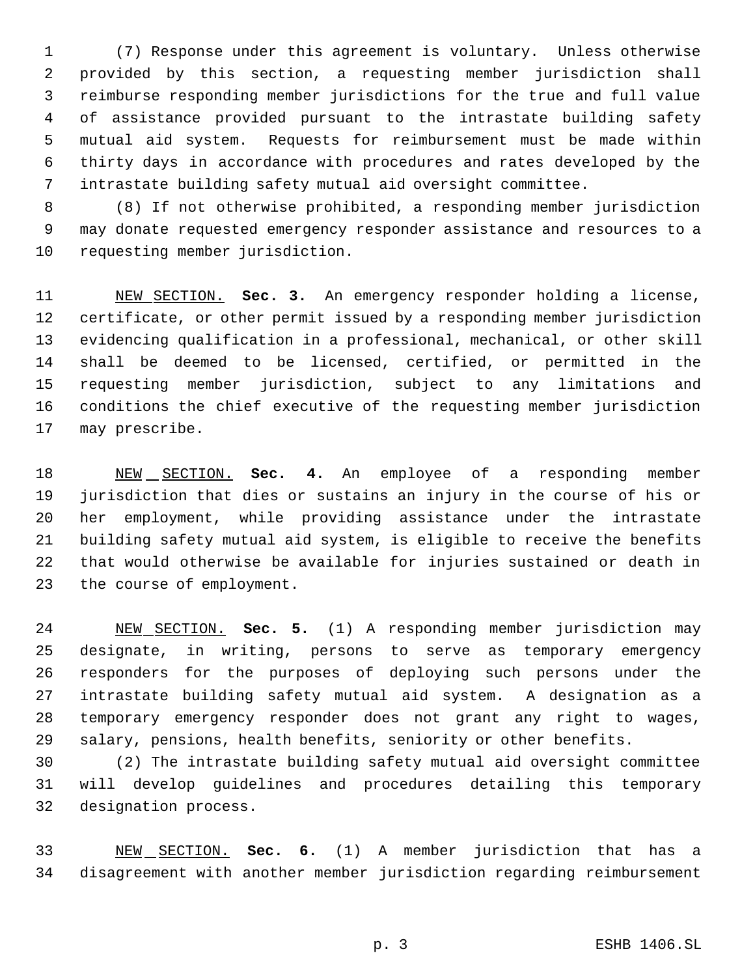(7) Response under this agreement is voluntary. Unless otherwise provided by this section, a requesting member jurisdiction shall reimburse responding member jurisdictions for the true and full value of assistance provided pursuant to the intrastate building safety mutual aid system. Requests for reimbursement must be made within thirty days in accordance with procedures and rates developed by the intrastate building safety mutual aid oversight committee.

 (8) If not otherwise prohibited, a responding member jurisdiction may donate requested emergency responder assistance and resources to a requesting member jurisdiction.

 NEW SECTION. **Sec. 3.** An emergency responder holding a license, certificate, or other permit issued by a responding member jurisdiction evidencing qualification in a professional, mechanical, or other skill shall be deemed to be licensed, certified, or permitted in the requesting member jurisdiction, subject to any limitations and conditions the chief executive of the requesting member jurisdiction may prescribe.

 NEW SECTION. **Sec. 4.** An employee of a responding member jurisdiction that dies or sustains an injury in the course of his or her employment, while providing assistance under the intrastate building safety mutual aid system, is eligible to receive the benefits that would otherwise be available for injuries sustained or death in the course of employment.

 NEW SECTION. **Sec. 5.** (1) A responding member jurisdiction may designate, in writing, persons to serve as temporary emergency responders for the purposes of deploying such persons under the intrastate building safety mutual aid system. A designation as a temporary emergency responder does not grant any right to wages, salary, pensions, health benefits, seniority or other benefits.

 (2) The intrastate building safety mutual aid oversight committee will develop guidelines and procedures detailing this temporary designation process.

 NEW SECTION. **Sec. 6.** (1) A member jurisdiction that has a disagreement with another member jurisdiction regarding reimbursement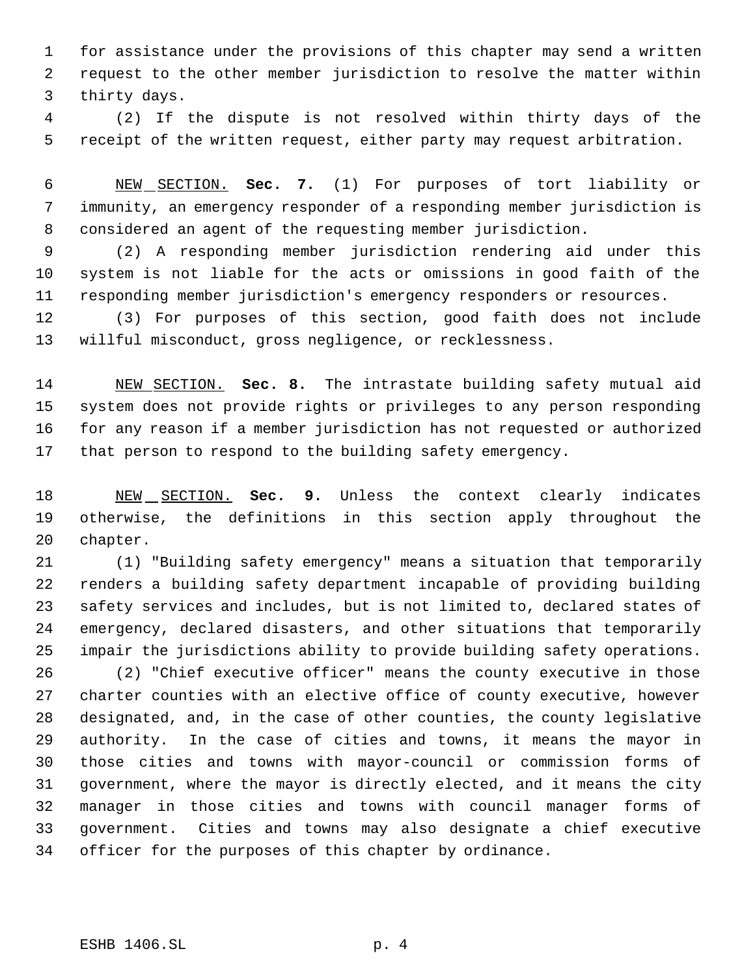for assistance under the provisions of this chapter may send a written request to the other member jurisdiction to resolve the matter within thirty days.

 (2) If the dispute is not resolved within thirty days of the receipt of the written request, either party may request arbitration.

 NEW SECTION. **Sec. 7.** (1) For purposes of tort liability or immunity, an emergency responder of a responding member jurisdiction is considered an agent of the requesting member jurisdiction.

 (2) A responding member jurisdiction rendering aid under this system is not liable for the acts or omissions in good faith of the responding member jurisdiction's emergency responders or resources.

 (3) For purposes of this section, good faith does not include willful misconduct, gross negligence, or recklessness.

 NEW SECTION. **Sec. 8.** The intrastate building safety mutual aid system does not provide rights or privileges to any person responding for any reason if a member jurisdiction has not requested or authorized that person to respond to the building safety emergency.

 NEW SECTION. **Sec. 9.** Unless the context clearly indicates otherwise, the definitions in this section apply throughout the chapter.

 (1) "Building safety emergency" means a situation that temporarily renders a building safety department incapable of providing building safety services and includes, but is not limited to, declared states of emergency, declared disasters, and other situations that temporarily impair the jurisdictions ability to provide building safety operations.

 (2) "Chief executive officer" means the county executive in those charter counties with an elective office of county executive, however designated, and, in the case of other counties, the county legislative authority. In the case of cities and towns, it means the mayor in those cities and towns with mayor-council or commission forms of government, where the mayor is directly elected, and it means the city manager in those cities and towns with council manager forms of government. Cities and towns may also designate a chief executive officer for the purposes of this chapter by ordinance.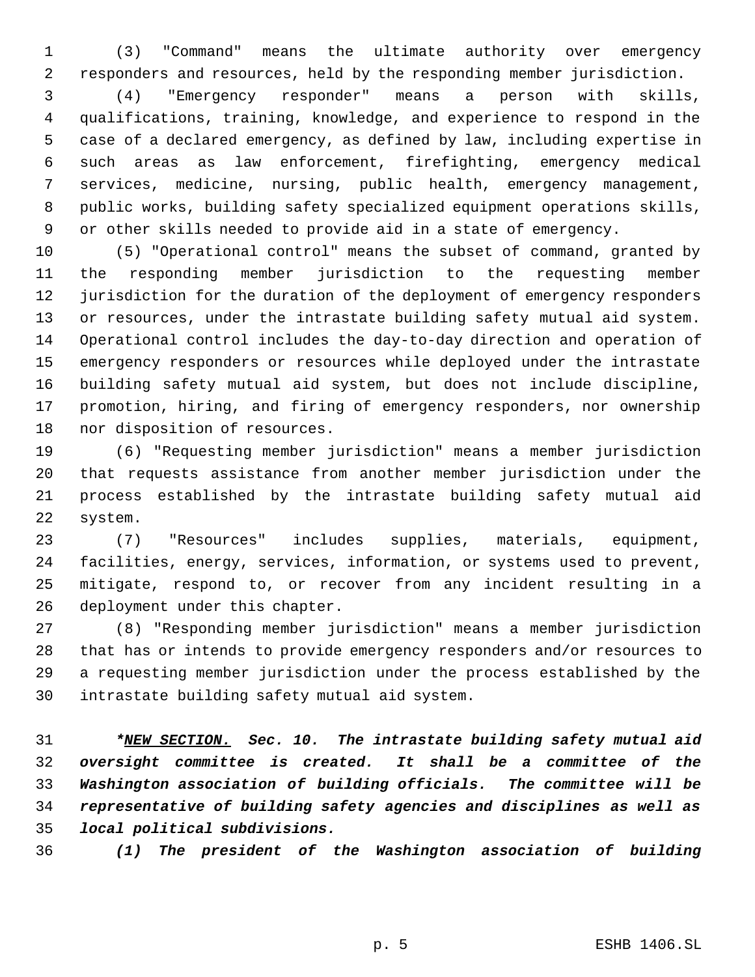(3) "Command" means the ultimate authority over emergency responders and resources, held by the responding member jurisdiction.

 (4) "Emergency responder" means a person with skills, qualifications, training, knowledge, and experience to respond in the case of a declared emergency, as defined by law, including expertise in such areas as law enforcement, firefighting, emergency medical services, medicine, nursing, public health, emergency management, public works, building safety specialized equipment operations skills, or other skills needed to provide aid in a state of emergency.

 (5) "Operational control" means the subset of command, granted by the responding member jurisdiction to the requesting member jurisdiction for the duration of the deployment of emergency responders or resources, under the intrastate building safety mutual aid system. Operational control includes the day-to-day direction and operation of emergency responders or resources while deployed under the intrastate building safety mutual aid system, but does not include discipline, promotion, hiring, and firing of emergency responders, nor ownership nor disposition of resources.

 (6) "Requesting member jurisdiction" means a member jurisdiction that requests assistance from another member jurisdiction under the process established by the intrastate building safety mutual aid system.

 (7) "Resources" includes supplies, materials, equipment, facilities, energy, services, information, or systems used to prevent, mitigate, respond to, or recover from any incident resulting in a deployment under this chapter.

 (8) "Responding member jurisdiction" means a member jurisdiction that has or intends to provide emergency responders and/or resources to a requesting member jurisdiction under the process established by the intrastate building safety mutual aid system.

 *\*NEW SECTION. Sec. 10. The intrastate building safety mutual aid oversight committee is created. It shall be a committee of the Washington association of building officials. The committee will be representative of building safety agencies and disciplines as well as local political subdivisions.*

*(1) The president of the Washington association of building*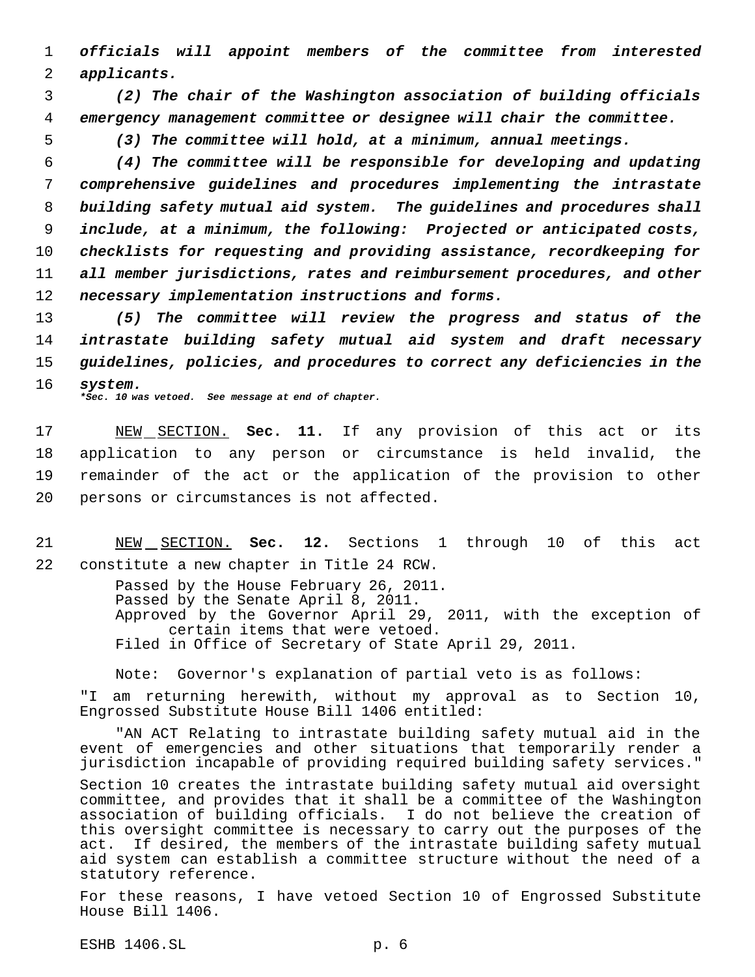1 *officials will appoint members of the committee from interested* 2 *applicants.*

 3 *(2) The chair of the Washington association of building officials* 4 *emergency management committee or designee will chair the committee.*

5 *(3) The committee will hold, at a minimum, annual meetings.*

 *(4) The committee will be responsible for developing and updating comprehensive guidelines and procedures implementing the intrastate building safety mutual aid system. The guidelines and procedures shall include, at a minimum, the following: Projected or anticipated costs, checklists for requesting and providing assistance, recordkeeping for all member jurisdictions, rates and reimbursement procedures, and other necessary implementation instructions and forms.*

13 *(5) The committee will review the progress and status of the* 14 *intrastate building safety mutual aid system and draft necessary* 15 *guidelines, policies, and procedures to correct any deficiencies in the* 16 *system. \*Sec. 10 was vetoed. See message at end of chapter.*

 NEW SECTION. **Sec. 11.** If any provision of this act or its application to any person or circumstance is held invalid, the remainder of the act or the application of the provision to other persons or circumstances is not affected.

21 NEW SECTION. **Sec. 12.** Sections 1 through 10 of this act 22 constitute a new chapter in Title 24 RCW.

> Passed by the House February 26, 2011. Passed by the Senate April 8, 2011. Approved by the Governor April 29, 2011, with the exception of certain items that were vetoed. Filed in Office of Secretary of State April 29, 2011.

Note: Governor's explanation of partial veto is as follows:

"I am returning herewith, without my approval as to Section 10, Engrossed Substitute House Bill 1406 entitled:

"AN ACT Relating to intrastate building safety mutual aid in the event of emergencies and other situations that temporarily render a jurisdiction incapable of providing required building safety services."

Section 10 creates the intrastate building safety mutual aid oversight committee, and provides that it shall be a committee of the Washington association of building officials. I do not believe the creation of this oversight committee is necessary to carry out the purposes of the act. If desired, the members of the intrastate building safety mutual aid system can establish a committee structure without the need of a statutory reference.

For these reasons, I have vetoed Section 10 of Engrossed Substitute House Bill 1406.

ESHB 1406.SL p. 6